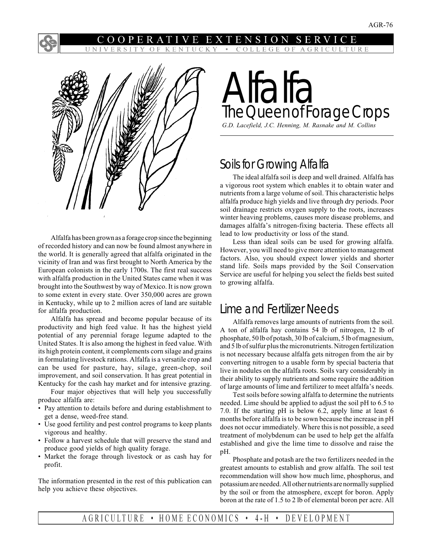#### ENTUC  $O$  F <sup>K</sup> COLLEGE OF AGRICULTURE



Alfalfa has been grown as a forage crop since the beginning of recorded history and can now be found almost anywhere in the world. It is generally agreed that alfalfa originated in the vicinity of Iran and was first brought to North America by the European colonists in the early 1700s. The first real success with alfalfa production in the United States came when it was brought into the Southwest by way of Mexico. It is now grown to some extent in every state. Over 350,000 acres are grown in Kentucky, while up to 2 million acres of land are suitable for alfalfa production.

Alfalfa has spread and become popular because of its productivity and high feed value. It has the highest yield potential of any perennial forage legume adapted to the United States. It is also among the highest in feed value. With its high protein content, it complements corn silage and grains in formulating livestock rations. Alfalfa is a versatile crop and can be used for pasture, hay, silage, green-chop, soil improvement, and soil conservation. It has great potential in Kentucky for the cash hay market and for intensive grazing.

Four major objectives that will help you successfully produce alfalfa are:

- Pay attention to details before and during establishment to get a dense, weed-free stand.
- Use good fertility and pest control programs to keep plants vigorous and healthy.
- Follow a harvest schedule that will preserve the stand and produce good yields of high quality forage.
- Market the forage through livestock or as cash hay for profit.

The information presented in the rest of this publication can help you achieve these objectives.

# Alfalfa The Queen of Forage Crops

*G.D. Lacefield, J.C. Henning, M. Rasnake and M. Collins*

## Soils for Growing Alfalfa

The ideal alfalfa soil is deep and well drained. Alfalfa has a vigorous root system which enables it to obtain water and nutrients from a large volume of soil. This characteristic helps alfalfa produce high yields and live through dry periods. Poor soil drainage restricts oxygen supply to the roots, increases winter heaving problems, causes more disease problems, and damages alfalfa's nitrogen-fixing bacteria. These effects all lead to low productivity or loss of the stand.

Less than ideal soils can be used for growing alfalfa. However, you will need to give more attention to management factors. Also, you should expect lower yields and shorter stand life. Soils maps provided by the Soil Conservation Service are useful for helping you select the fields best suited to growing alfalfa.

## Lime and Fertilizer Needs

Alfalfa removes large amounts of nutrients from the soil. A ton of alfalfa hay contains 54 lb of nitrogen, 12 lb of phosphate, 50 lb of potash, 30 lb of calcium, 5 lb of magnesium, and 5 lb of sulfur plus the micronutrients. Nitrogen fertilization is not necessary because alfalfa gets nitrogen from the air by converting nitrogen to a usable form by special bacteria that live in nodules on the alfalfa roots. Soils vary considerably in their ability to supply nutrients and some require the addition of large amounts of lime and fertilizer to meet alfalfa's needs.

Test soils before sowing alfalfa to determine the nutrients needed. Lime should be applied to adjust the soil pH to 6.5 to 7.0. If the starting pH is below 6.2, apply lime at least 6 months before alfalfa is to be sown because the increase in pH does not occur immediately. Where this is not possible, a seed treatment of molybdenum can be used to help get the alfalfa established and give the lime time to dissolve and raise the pH.

Phosphate and potash are the two fertilizers needed in the greatest amounts to establish and grow alfalfa. The soil test recommendation will show how much lime, phosphorus, and potassium are needed. All other nutrients are normally supplied by the soil or from the atmosphere, except for boron. Apply boron at the rate of 1.5 to 2 lb of elemental boron per acre. All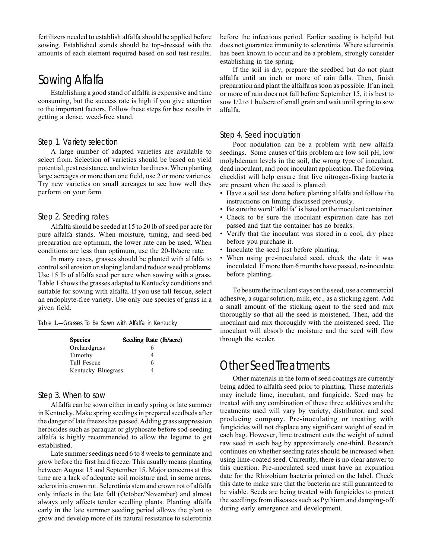fertilizers needed to establish alfalfa should be applied before sowing. Established stands should be top-dressed with the amounts of each element required based on soil test results.

## Sowing Alfalfa

Establishing a good stand of alfalfa is expensive and time consuming, but the success rate is high if you give attention to the important factors. Follow these steps for best results in getting a dense, weed-free stand.

### Step 1. Variety selection

A large number of adapted varieties are available to select from. Selection of varieties should be based on yield potential, pest resistance, and winter hardiness. When planting large acreages or more than one field, use 2 or more varieties. Try new varieties on small acreages to see how well they perform on your farm.

#### Step 2. Seeding rates

Alfalfa should be seeded at 15 to 20 lb of seed per acre for pure alfalfa stands. When moisture, timing, and seed-bed preparation are optimum, the lower rate can be used. When conditions are less than optimum, use the 20-lb/acre rate.

In many cases, grasses should be planted with alfalfa to control soil erosion on sloping land and reduce weed problems. Use 15 lb of alfalfa seed per acre when sowing with a grass. Table 1 shows the grasses adapted to Kentucky conditions and suitable for sowing with alfalfa. If you use tall fescue, select an endophyte-free variety. Use only one species of grass in a given field.

| Table 1.-Grasses To Be Sown with Alfalfa in Kentucky |
|------------------------------------------------------|
|------------------------------------------------------|

| <b>Species</b>     | Seeding Rate (lb/acre) |
|--------------------|------------------------|
| Orchardgrass       |                        |
| Timothy            |                        |
| Tall Fescue        | 6                      |
| Kentucky Bluegrass |                        |

## Step 3. When to sow

Alfalfa can be sown either in early spring or late summer in Kentucky. Make spring seedings in prepared seedbeds after the danger of late freezes has passed. Adding grass suppression herbicides such as paraquat or glyphosate before sod-seeding alfalfa is highly recommended to allow the legume to get established.

Late summer seedings need 6 to 8 weeks to germinate and grow before the first hard freeze. This usually means planting between August 15 and September 15. Major concerns at this time are a lack of adequate soil moisture and, in some areas, sclerotinia crown rot. Sclerotinia stem and crown rot of alfalfa only infects in the late fall (October/November) and almost always only affects tender seedling plants. Planting alfalfa early in the late summer seeding period allows the plant to grow and develop more of its natural resistance to sclerotinia

before the infectious period. Earlier seeding is helpful but does not guarantee immunity to sclerotinia. Where sclerotinia has been known to occur and be a problem, strongly consider establishing in the spring.

If the soil is dry, prepare the seedbed but do not plant alfalfa until an inch or more of rain falls. Then, finish preparation and plant the alfalfa as soon as possible. If an inch or more of rain does not fall before September 15, it is best to sow 1/2 to 1 bu/acre of small grain and wait until spring to sow alfalfa.

## Step 4. Seed inoculation

Poor nodulation can be a problem with new alfalfa seedings. Some causes of this problem are low soil pH, low molybdenum levels in the soil, the wrong type of inoculant, dead inoculant, and poor inoculant application. The following checklist will help ensure that live nitrogen-fixing bacteria are present when the seed is planted:

- Have a soil test done before planting alfalfa and follow the instructions on liming discussed previously.
- Be sure the word "alfalfa" is listed on the inoculant container.
- Check to be sure the inoculant expiration date has not passed and that the container has no breaks.
- Verify that the inoculant was stored in a cool, dry place before you purchase it.
- Inoculate the seed just before planting.
- When using pre-inoculated seed, check the date it was inoculated. If more than 6 months have passed, re-inoculate before planting.

To be sure the inoculant stays on the seed, use a commercial adhesive, a sugar solution, milk, etc., as a sticking agent. Add a small amount of the sticking agent to the seed and mix thoroughly so that all the seed is moistened. Then, add the inoculant and mix thoroughly with the moistened seed. The inoculant will absorb the moisture and the seed will flow through the seeder.

## Other Seed Treatments

Other materials in the form of seed coatings are currently being added to alfalfa seed prior to planting. These materials may include lime, inoculant, and fungicide. Seed may be treated with any combination of these three additives and the treatments used will vary by variety, distributor, and seed producing company. Pre-inoculating or treating with fungicides will not displace any significant weight of seed in each bag. However, lime treatment cuts the weight of actual raw seed in each bag by approximately one-third. Research continues on whether seeding rates should be increased when using lime-coated seed. Currently, there is no clear answer to this question. Pre-inoculated seed must have an expiration date for the Rhizobium bacteria printed on the label. Check this date to make sure that the bacteria are still guaranteed to be viable. Seeds are being treated with fungicides to protect the seedlings from diseases such as Pythium and damping-off during early emergence and development.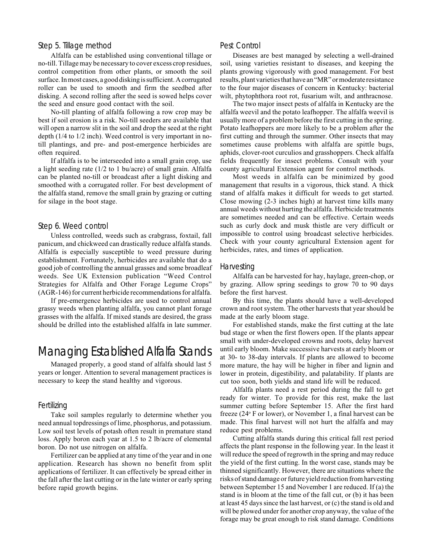#### Step 5. Tillage method

Alfalfa can be established using conventional tillage or no-till. Tillage may be necessary to cover excess crop residues, control competition from other plants, or smooth the soil surface. In most cases, a good disking is sufficient. A corrugated roller can be used to smooth and firm the seedbed after disking. A second rolling after the seed is sowed helps cover the seed and ensure good contact with the soil.

No-till planting of alfalfa following a row crop may be best if soil erosion is a risk. No-till seeders are available that will open a narrow slit in the soil and drop the seed at the right depth (1/4 to 1/2 inch). Weed control is very important in notill plantings, and pre- and post-emergence herbicides are often required.

If alfalfa is to be interseeded into a small grain crop, use a light seeding rate (1/2 to 1 bu/acre) of small grain. Alfalfa can be planted no-till or broadcast after a light disking and smoothed with a corrugated roller. For best development of the alfalfa stand, remove the small grain by grazing or cutting for silage in the boot stage.

#### Step 6. Weed control

Unless controlled, weeds such as crabgrass, foxtail, fall panicum, and chickweed can drastically reduce alfalfa stands. Alfalfa is especially susceptible to weed pressure during establishment. Fortunately, herbicides are available that do a good job of controlling the annual grasses and some broadleaf weeds. See UK Extension publication "Weed Control Strategies for Alfalfa and Other Forage Legume Crops" (AGR-146) for current herbicide recommendations for alfalfa.

If pre-emergence herbicides are used to control annual grassy weeds when planting alfalfa, you cannot plant forage grasses with the alfalfa. If mixed stands are desired, the grass should be drilled into the established alfalfa in late summer.

## Managing Established Alfalfa Stands

Managed properly, a good stand of alfalfa should last 5 years or longer. Attention to several management practices is necessary to keep the stand healthy and vigorous.

### Fertilizing

Take soil samples regularly to determine whether you need annual topdressings of lime, phosphorus, and potassium. Low soil test levels of potash often result in premature stand loss. Apply boron each year at 1.5 to 2 lb/acre of elemental boron. Do not use nitrogen on alfalfa.

Fertilizer can be applied at any time of the year and in one application. Research has shown no benefit from split applications of fertilizer. It can effectively be spread either in the fall after the last cutting or in the late winter or early spring before rapid growth begins.

#### Pest Control

Diseases are best managed by selecting a well-drained soil, using varieties resistant to diseases, and keeping the plants growing vigorously with good management. For best results, plant varieties that have an "MR" or moderate resistance to the four major diseases of concern in Kentucky: bacterial wilt, phytophthora root rot, fusarium wilt, and anthracnose.

The two major insect pests of alfalfa in Kentucky are the alfalfa weevil and the potato leafhopper. The alfalfa weevil is usually more of a problem before the first cutting in the spring. Potato leafhoppers are more likely to be a problem after the first cutting and through the summer. Other insects that may sometimes cause problems with alfalfa are spittle bugs, aphids, clover-root curculios and grasshoppers. Check alfalfa fields frequently for insect problems. Consult with your county agricultural Extension agent for control methods.

Most weeds in alfalfa can be minimized by good management that results in a vigorous, thick stand. A thick stand of alfalfa makes it difficult for weeds to get started. Close mowing (2-3 inches high) at harvest time kills many annual weeds without hurting the alfalfa. Herbicide treatments are sometimes needed and can be effective. Certain weeds such as curly dock and musk thistle are very difficult or impossible to control using broadcast selective herbicides. Check with your county agricultural Extension agent for herbicides, rates, and times of application.

#### Harvesting

Alfalfa can be harvested for hay, haylage, green-chop, or by grazing. Allow spring seedings to grow 70 to 90 days before the first harvest.

By this time, the plants should have a well-developed crown and root system. The other harvests that year should be made at the early bloom stage.

For established stands, make the first cutting at the late bud stage or when the first flowers open. If the plants appear small with under-developed crowns and roots, delay harvest until early bloom. Make successive harvests at early bloom or at 30- to 38-day intervals. If plants are allowed to become more mature, the hay will be higher in fiber and lignin and lower in protein, digestibility, and palatability. If plants are cut too soon, both yields and stand life will be reduced.

Alfalfa plants need a rest period during the fall to get ready for winter. To provide for this rest, make the last summer cutting before September 15. After the first hard freeze (24° F or lower), or November 1, a final harvest can be made. This final harvest will not hurt the alfalfa and may reduce pest problems.

Cutting alfalfa stands during this critical fall rest period affects the plant response in the following year. In the least it will reduce the speed of regrowth in the spring and may reduce the yield of the first cutting. In the worst case, stands may be thinned significantly. However, there are situations where the risks of stand damage or future yield reduction from harvesting between September 15 and November 1 are reduced. If (a) the stand is in bloom at the time of the fall cut, or (b) it has been at least 45 days since the last harvest, or (c) the stand is old and will be plowed under for another crop anyway, the value of the forage may be great enough to risk stand damage. Conditions